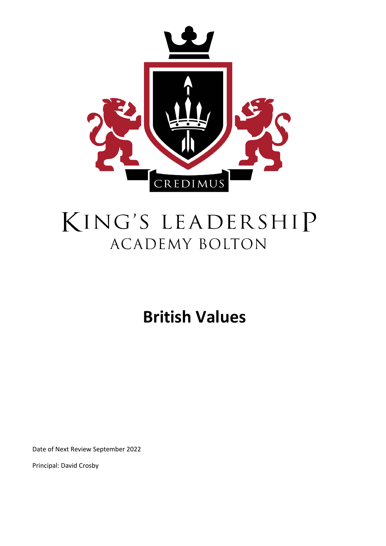

# KING'S LEADERSHIP **ACADEMY BOLTON**

## **British Values**

Date of Next Review September 2022

Principal: David Crosby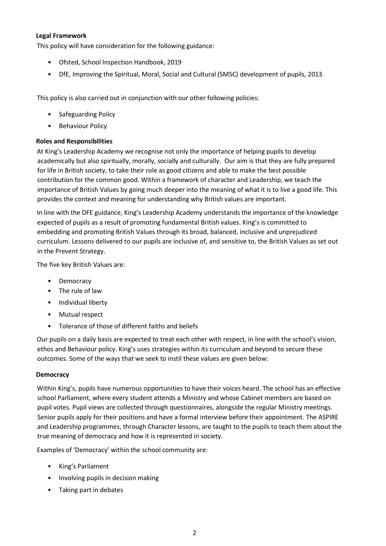#### **Legal Framework**

This policy will have consideration for the following guidance:

- Ofsted, School Inspection Handbook, 2019
- DfE, Improving the Spiritual, Moral, Social and Cultural (SMSC) development of pupils, 2013

This policy is also carried out in conjunction with our other following policies:

- Safeguarding Policy
- Behaviour Policy

#### **Roles and Responsibilities**

At King's Leadership Academy we recognise not only the importance of helping pupils to develop academically but also spiritually, morally, socially and culturally. Our aim is that they are fully prepared for life in British society, to take their role as good citizens and able to make the best possible contribution for the common good. Within a framework of character and Leadership, we teach the importance of British Values by going much deeper into the meaning of what it is to live a good life. This provides the context and meaning for understanding why British values are important.

In line with the DFE guidance, King's Leadership Academy understands the importance of the knowledge expected of pupils as a result of promoting fundamental British values. King's is committed to embedding and promoting British Values through its broad, balanced, inclusive and unprejudiced curriculum. Lessons delivered to our pupils are inclusive of, and sensitive to, the British Values as set out in the Prevent Strategy.

The five key British Values are:

- Democracy
- The rule of law
- Individual liberty
- Mutual respect
- Tolerance of those of different faiths and beliefs

Our pupils on a daily basis are expected to treat each other with respect, in line with the school's vision, ethos and Behaviour policy. King's uses strategies within its curriculum and beyond to secure these outcomes. Some of the ways that we seek to instil these values are given below:

#### **Democracy**

Within King's, pupils have numerous opportunities to have their voices heard. The school has an effective school Parliament, where every student attends a Ministry and whose Cabinet members are based on pupil votes. Pupil views are collected through questionnaires, alongside the regular Ministry meetings. Senior pupils apply for their positions and have a formal interview before their appointment. The ASPIRE and Leadership programmes, through Character lessons, are taught to the pupils to teach them about the true meaning of democracy and how it is represented in society.

Examples of 'Democracy' within the school community are:

- King's Parliament
- Involving pupils in decision making
- Taking part in debates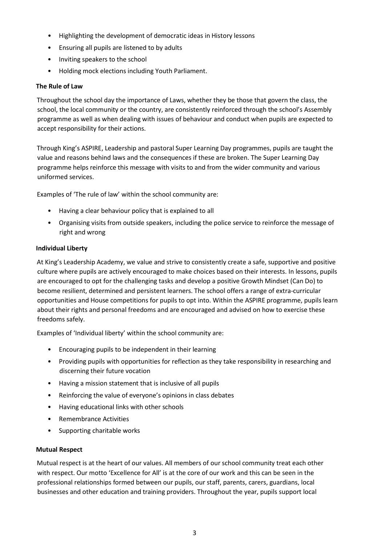- Highlighting the development of democratic ideas in History lessons
- Ensuring all pupils are listened to by adults
- Inviting speakers to the school
- Holding mock elections including Youth Parliament.

#### **The Rule of Law**

Throughout the school day the importance of Laws, whether they be those that govern the class, the school, the local community or the country, are consistently reinforced through the school's Assembly programme as well as when dealing with issues of behaviour and conduct when pupils are expected to accept responsibility for their actions.

Through King's ASPIRE, Leadership and pastoral Super Learning Day programmes, pupils are taught the value and reasons behind laws and the consequences if these are broken. The Super Learning Day programme helps reinforce this message with visits to and from the wider community and various uniformed services.

Examples of 'The rule of law' within the school community are:

- Having a clear behaviour policy that is explained to all
- Organising visits from outside speakers, including the police service to reinforce the message of right and wrong

#### **Individual Liberty**

At King's Leadership Academy, we value and strive to consistently create a safe, supportive and positive culture where pupils are actively encouraged to make choices based on their interests. In lessons, pupils are encouraged to opt for the challenging tasks and develop a positive Growth Mindset (Can Do) to become resilient, determined and persistent learners. The school offers a range of extra-curricular opportunities and House competitions for pupils to opt into. Within the ASPIRE programme, pupils learn about their rights and personal freedoms and are encouraged and advised on how to exercise these freedoms safely.

Examples of 'Individual liberty' within the school community are:

- Encouraging pupils to be independent in their learning
- Providing pupils with opportunities for reflection as they take responsibility in researching and discerning their future vocation
- Having a mission statement that is inclusive of all pupils
- Reinforcing the value of everyone's opinions in class debates
- Having educational links with other schools
- Remembrance Activities
- Supporting charitable works

#### **Mutual Respect**

Mutual respect is at the heart of our values. All members of our school community treat each other with respect. Our motto 'Excellence for All' is at the core of our work and this can be seen in the professional relationships formed between our pupils, our staff, parents, carers, guardians, local businesses and other education and training providers. Throughout the year, pupils support local